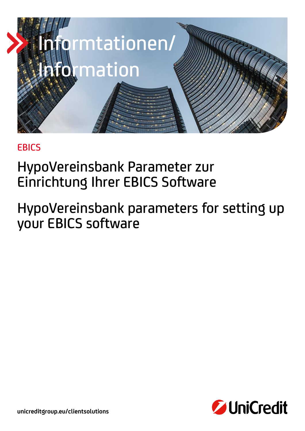

## **EBICS**

# HypoVereinsbank Parameter zur Einrichtung Ihrer EBICS Software

# HypoVereinsbank parameters for setting up your EBICS software



**unicreditgroup.eu/clientsolutions**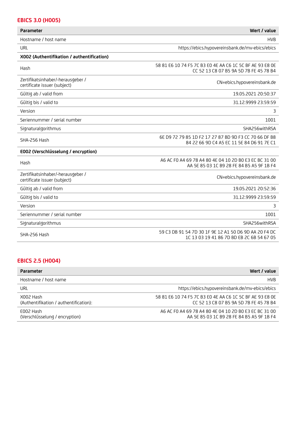| <b>EBICS 3.0 (H005)</b>                                           |                                                                                                    |
|-------------------------------------------------------------------|----------------------------------------------------------------------------------------------------|
| <b>Parameter</b>                                                  | Wert / value                                                                                       |
| Hostname / host name                                              | <b>HVB</b>                                                                                         |
| URL                                                               | https://ebics.hypovereinsbank.de/mv-ebics/ebics                                                    |
| X002 (Authentifikation / authentification)                        |                                                                                                    |
| Hash                                                              | 58 81 E6 10 74 F5 7C B3 E0 4E AA C6 1C 5C BF AE 93 E8 0E<br>CC 52 13 C8 07 B5 9A 5D 7B FE 45 78 B4 |
| Zertifikatsinhaber/-herausgeber /<br>certificate issuer (subject) | CN=ebics.hypovereinsbank.de                                                                        |
| Gültig ab / valid from                                            | 19.05.2021 20:50:37                                                                                |
| Gültig bis / valid to                                             | 31.12.9999 23:59:59                                                                                |
| Version                                                           | 3                                                                                                  |
| Seriennummer / serial number                                      | 1001                                                                                               |
| Signaturalgorithmus                                               | SHA256withRSA                                                                                      |
| SHA-256 Hash                                                      | 6E D9 72 79 85 1D F2 17 27 87 BD 9D F3 CC 70 66 DF B8<br>84 22 66 9D C4 A5 EC 11 5E 84 D6 91 7E C1 |
| E002 (Verschlüsselung / encryption)                               |                                                                                                    |
| Hash                                                              | A6 AC F0 A4 69 78 A4 80 4E 04 10 2D B0 E3 EC BC 31 00<br>AA 5E 85 03 1C B9 28 FE 84 B5 A5 9F 1B F4 |
| Zertifikatsinhaber/-herausgeber /<br>certificate issuer (subject) | CN=ebics.hypovereinsbank.de                                                                        |
| Gültig ab / valid from                                            | 19.05.2021 20:52:36                                                                                |
| Gültig bis / valid to                                             | 31.12.9999 23:59:59                                                                                |
| Version                                                           | 3.                                                                                                 |
| Seriennummer / serial number                                      | 1001                                                                                               |
| Signaturalgorithmus                                               | SHA256withRSA                                                                                      |
| SHA-256 Hash                                                      | 59 C3 DB 91 54 7D 30 1F 9E 12 A1 50 D6 9D AA 20 F4 DC<br>1C 13 03 19 41 86 7D BD EB 2C 6B 54 67 05 |

### **EBICS 2.5 (H004)**

| <b>Parameter</b>                                    | Wert / value                                                                                       |
|-----------------------------------------------------|----------------------------------------------------------------------------------------------------|
| Hostname / host name                                | <b>HVB</b>                                                                                         |
| URL                                                 | https://ebics.hypovereinsbank.de/mv-ebics/ebics                                                    |
| X002 Hash<br>(Authentifikation / authentification): | 58 81 E6 10 74 F5 7C B3 E0 4E AA C6 1C 5C BF AE 93 E8 OE<br>CC 52 13 C8 07 B5 9A 5D 7B FE 45 78 B4 |
| F002 Hash<br>(Verschlüsselung / encryption)         | A6 AC F0 A4 69 78 A4 80 4E 04 10 2D B0 E3 EC BC 31 00<br>AA 5E 85 03 1C B9 28 FE 84 B5 A5 9F 1B F4 |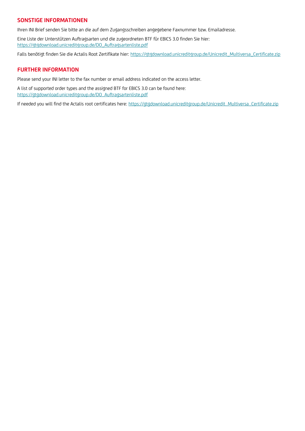### **SONSTIGE INFORMATIONEN**

Ihren INI Brief senden Sie bitte an die auf dem Zugangsschreiben angegebene Faxnummer bzw. Emailadresse.

Eine Liste der Unterstützen Auftragsarten und die zugeordneten BTF für EBICS 3.0 finden Sie hier: [https://gtgdownload.unicreditgroup.de/DO\\_Auftragsartenliste.pdf](https://gtgdownload.unicreditgroup.de/DO_Auftragsartenliste.pdf)

Falls benötigt finden Sie die Actalis Root Zertifikate hier[: https://gtgdownload.unicreditgroup.de/Unicredit\\_Multiversa\\_Certificate.zip](https://gtgdownload.unicreditgroup.de/Unicredit_Multiversa_Certificate.zip)

### **FURTHER INFORMATION**

Please send your INI letter to the fax number or email address indicated on the access letter.

A list of supported order types and the assigned BTF for EBICS 3.0 can be found here: [https://gtgdownload.unicreditgroup.de/DO\\_Auftragsartenliste.pdf](https://gtgdownload.unicreditgroup.de/DO_Auftragsartenliste.pdf)

If needed you will find the Actalis root certificates here: [https://gtgdownload.unicreditgroup.de/Unicredit\\_Multiversa\\_Certificate.zip](https://gtgdownload.unicreditgroup.de/Unicredit_Multiversa_Certificate.zip)